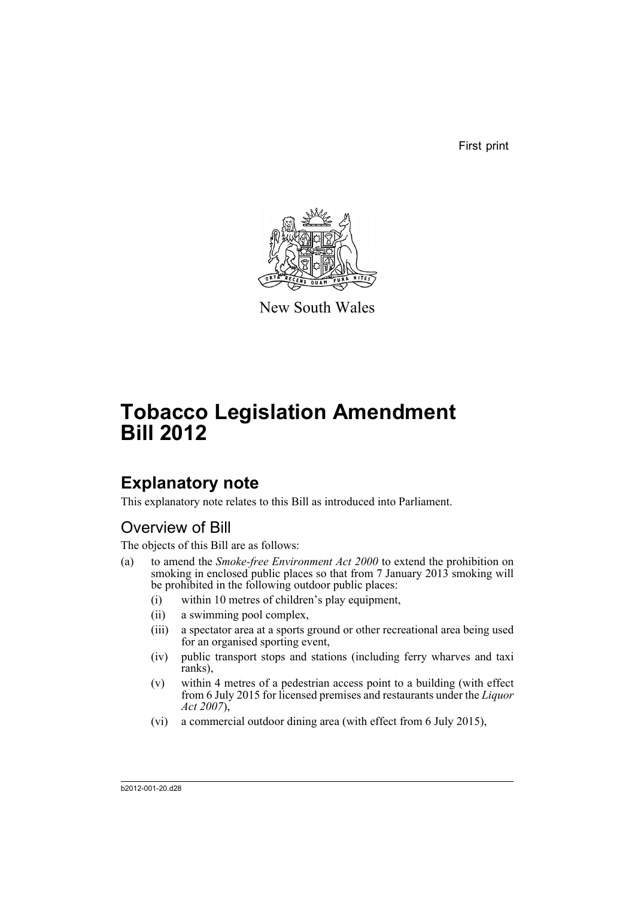First print



New South Wales

# **Tobacco Legislation Amendment Bill 2012**

## **Explanatory note**

This explanatory note relates to this Bill as introduced into Parliament.

### Overview of Bill

The objects of this Bill are as follows:

- (a) to amend the *Smoke-free Environment Act 2000* to extend the prohibition on smoking in enclosed public places so that from 7 January 2013 smoking will be prohibited in the following outdoor public places:
	- (i) within 10 metres of children's play equipment,
	- (ii) a swimming pool complex,
	- (iii) a spectator area at a sports ground or other recreational area being used for an organised sporting event,
	- (iv) public transport stops and stations (including ferry wharves and taxi ranks),
	- (v) within 4 metres of a pedestrian access point to a building (with effect from 6 July 2015 for licensed premises and restaurants under the *Liquor Act 2007*),
	- (vi) a commercial outdoor dining area (with effect from 6 July 2015),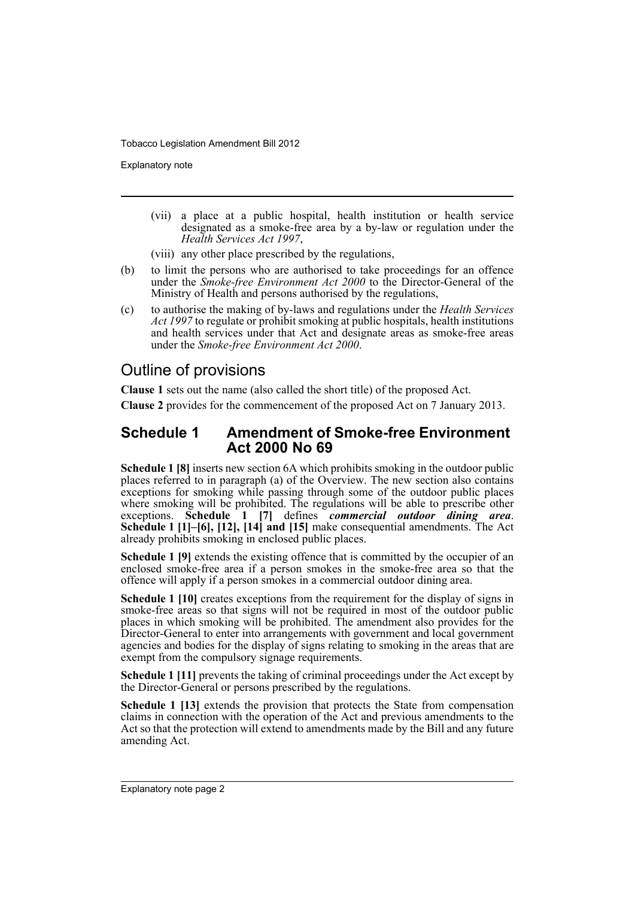Explanatory note

- (vii) a place at a public hospital, health institution or health service designated as a smoke-free area by a by-law or regulation under the *Health Services Act 1997*,
- (viii) any other place prescribed by the regulations,
- (b) to limit the persons who are authorised to take proceedings for an offence under the *Smoke-free Environment Act 2000* to the Director-General of the Ministry of Health and persons authorised by the regulations,
- (c) to authorise the making of by-laws and regulations under the *Health Services Act 1997* to regulate or prohibit smoking at public hospitals, health institutions and health services under that Act and designate areas as smoke-free areas under the *Smoke-free Environment Act 2000*.

### Outline of provisions

**Clause 1** sets out the name (also called the short title) of the proposed Act.

**Clause 2** provides for the commencement of the proposed Act on 7 January 2013.

#### **Schedule 1 Amendment of Smoke-free Environment Act 2000 No 69**

**Schedule 1 [8]** inserts new section 6A which prohibits smoking in the outdoor public places referred to in paragraph (a) of the Overview. The new section also contains exceptions for smoking while passing through some of the outdoor public places where smoking will be prohibited. The regulations will be able to prescribe other exceptions. **Schedule 1 [7]** defines *commercial outdoor dining area*. **Schedule 1 [1]–[6], [12], [14] and [15]** make consequential amendments. The Act already prohibits smoking in enclosed public places.

**Schedule 1 [9]** extends the existing offence that is committed by the occupier of an enclosed smoke-free area if a person smokes in the smoke-free area so that the offence will apply if a person smokes in a commercial outdoor dining area.

**Schedule 1 [10]** creates exceptions from the requirement for the display of signs in smoke-free areas so that signs will not be required in most of the outdoor public places in which smoking will be prohibited. The amendment also provides for the Director-General to enter into arrangements with government and local government agencies and bodies for the display of signs relating to smoking in the areas that are exempt from the compulsory signage requirements.

**Schedule 1 [11]** prevents the taking of criminal proceedings under the Act except by the Director-General or persons prescribed by the regulations.

**Schedule 1 [13]** extends the provision that protects the State from compensation claims in connection with the operation of the Act and previous amendments to the Act so that the protection will extend to amendments made by the Bill and any future amending Act.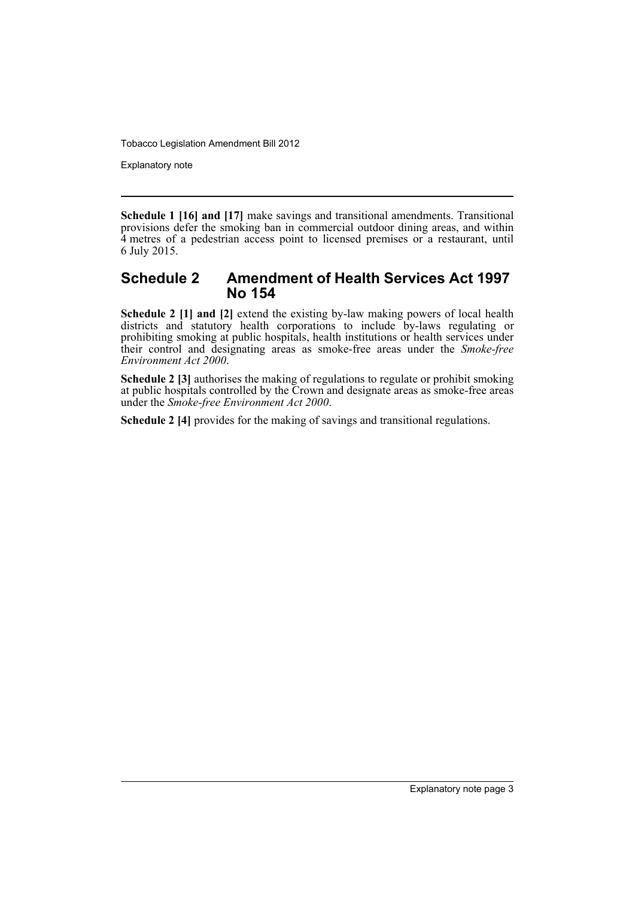Explanatory note

**Schedule 1 [16] and [17]** make savings and transitional amendments. Transitional provisions defer the smoking ban in commercial outdoor dining areas, and within 4 metres of a pedestrian access point to licensed premises or a restaurant, until 6 July 2015.

#### **Schedule 2 Amendment of Health Services Act 1997 No 154**

**Schedule 2 [1] and [2]** extend the existing by-law making powers of local health districts and statutory health corporations to include by-laws regulating or prohibiting smoking at public hospitals, health institutions or health services under their control and designating areas as smoke-free areas under the *Smoke-free Environment Act 2000*.

**Schedule 2 [3]** authorises the making of regulations to regulate or prohibit smoking at public hospitals controlled by the Crown and designate areas as smoke-free areas under the *Smoke-free Environment Act 2000*.

**Schedule 2 [4]** provides for the making of savings and transitional regulations.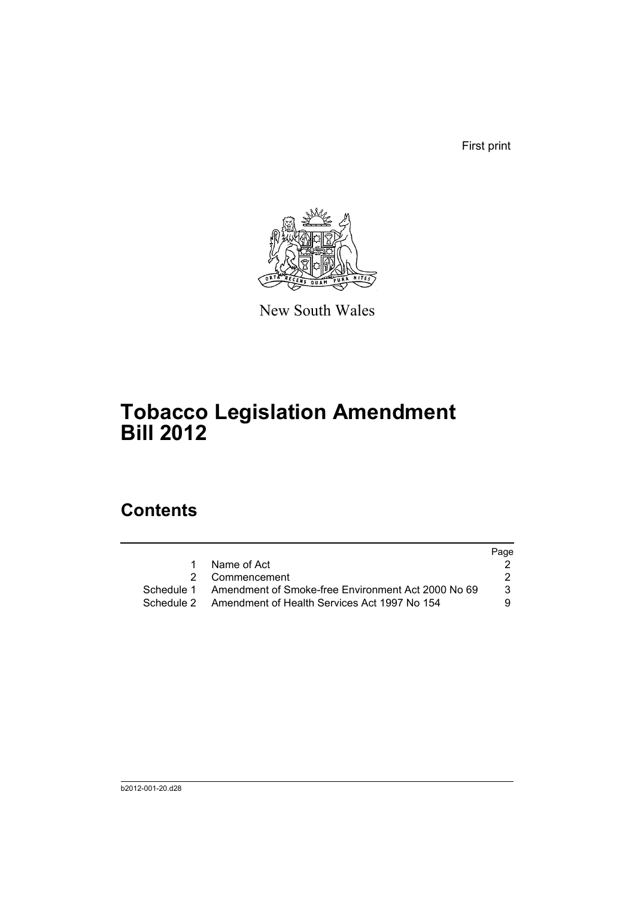First print



New South Wales

## **Tobacco Legislation Amendment Bill 2012**

### **Contents**

|            |                                                         | Page |
|------------|---------------------------------------------------------|------|
| 1.         | Name of Act                                             |      |
|            | 2 Commencement                                          |      |
| Schedule 1 | Amendment of Smoke-free Environment Act 2000 No 69      | 3    |
|            | Schedule 2 Amendment of Health Services Act 1997 No 154 | 9    |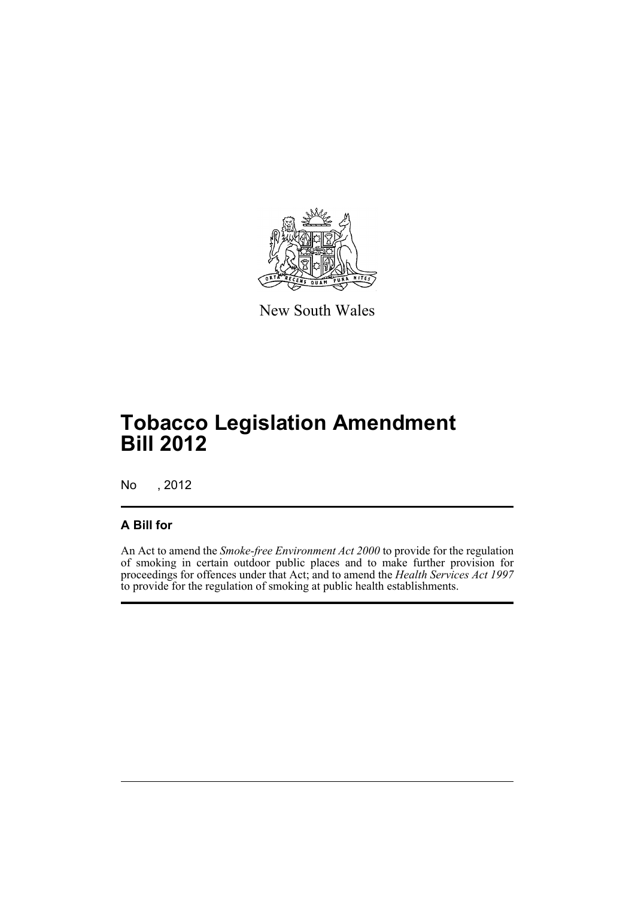

New South Wales

## **Tobacco Legislation Amendment Bill 2012**

No , 2012

### **A Bill for**

An Act to amend the *Smoke-free Environment Act 2000* to provide for the regulation of smoking in certain outdoor public places and to make further provision for proceedings for offences under that Act; and to amend the *Health Services Act 1997* to provide for the regulation of smoking at public health establishments.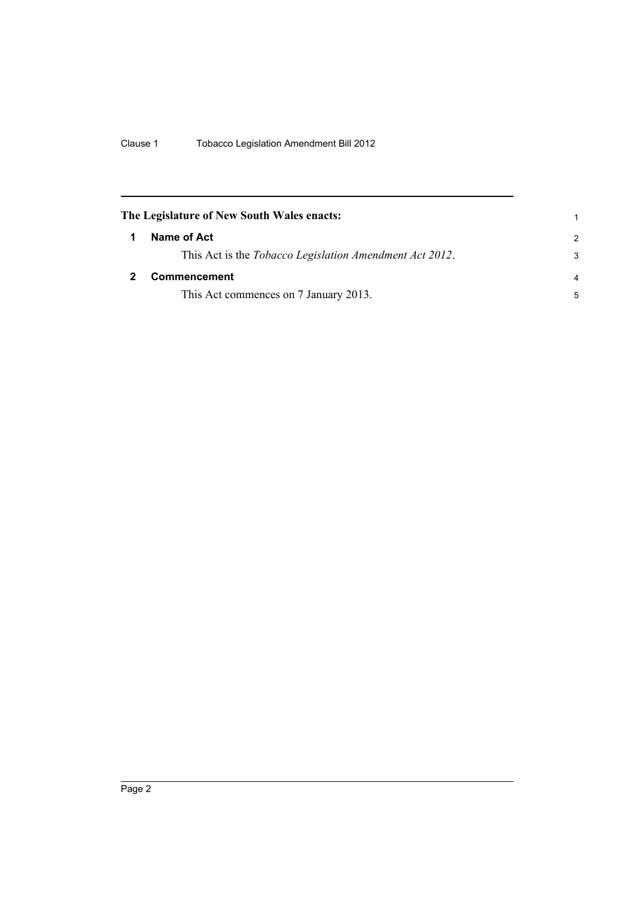<span id="page-7-1"></span><span id="page-7-0"></span>

|   | The Legislature of New South Wales enacts:                      |                |
|---|-----------------------------------------------------------------|----------------|
| 1 | Name of Act                                                     | $\mathcal{P}$  |
|   | This Act is the <i>Tobacco Legislation Amendment Act 2012</i> . | 3              |
|   | <b>Commencement</b>                                             | $\overline{a}$ |
|   | This Act commences on 7 January 2013.                           | 5              |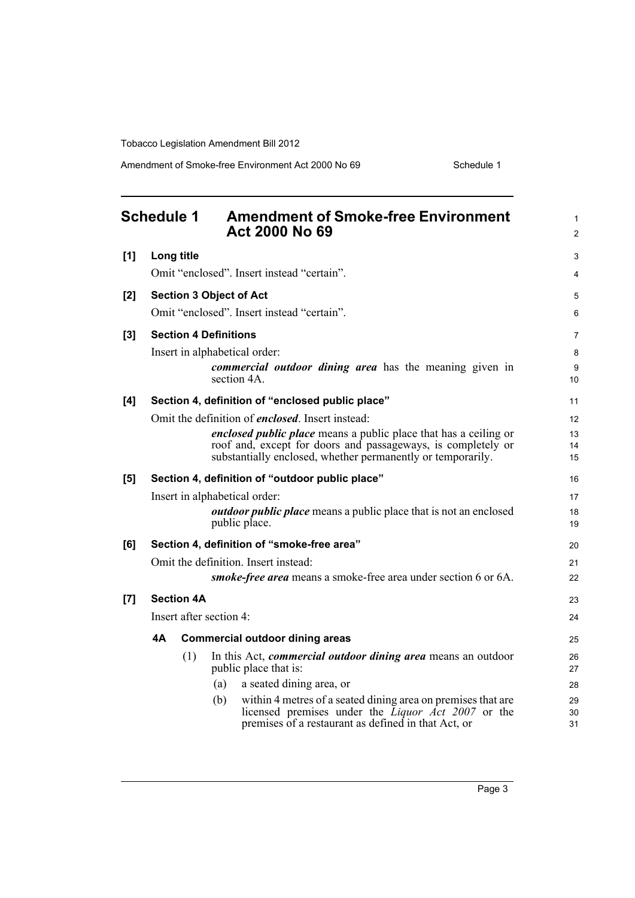Amendment of Smoke-free Environment Act 2000 No 69 Schedule 1

<span id="page-8-0"></span>

|     | <b>Schedule 1</b><br><b>Amendment of Smoke-free Environment</b><br><b>Act 2000 No 69</b>                                                                                                 | 1<br>$\overline{c}$ |
|-----|------------------------------------------------------------------------------------------------------------------------------------------------------------------------------------------|---------------------|
| [1] | Long title                                                                                                                                                                               | 3                   |
|     | Omit "enclosed". Insert instead "certain".                                                                                                                                               | 4                   |
| [2] | <b>Section 3 Object of Act</b>                                                                                                                                                           | 5                   |
|     | Omit "enclosed". Insert instead "certain".                                                                                                                                               | 6                   |
| [3] | <b>Section 4 Definitions</b>                                                                                                                                                             | 7                   |
|     | Insert in alphabetical order:                                                                                                                                                            | 8                   |
|     | commercial outdoor dining area has the meaning given in<br>section 4A.                                                                                                                   | 9<br>10             |
| [4] | Section 4, definition of "enclosed public place"                                                                                                                                         | 11                  |
|     | Omit the definition of <i>enclosed</i> . Insert instead:                                                                                                                                 | 12                  |
|     | <i>enclosed public place</i> means a public place that has a ceiling or<br>roof and, except for doors and passageways, is completely or                                                  | 13<br>14            |
|     | substantially enclosed, whether permanently or temporarily.                                                                                                                              | 15                  |
| [5] | Section 4, definition of "outdoor public place"                                                                                                                                          | 16                  |
|     | Insert in alphabetical order:                                                                                                                                                            | 17                  |
|     | <b><i>outdoor public place</i></b> means a public place that is not an enclosed<br>public place.                                                                                         | 18<br>19            |
| [6] | Section 4, definition of "smoke-free area"                                                                                                                                               | 20                  |
|     | Omit the definition. Insert instead:                                                                                                                                                     | 21                  |
|     | <i>smoke-free area</i> means a smoke-free area under section 6 or 6A.                                                                                                                    | 22                  |
| [7] | <b>Section 4A</b>                                                                                                                                                                        | 23                  |
|     | Insert after section 4:                                                                                                                                                                  | 24                  |
|     | 4А<br><b>Commercial outdoor dining areas</b>                                                                                                                                             | 25                  |
|     | (1)<br>In this Act, <i>commercial outdoor dining area</i> means an outdoor<br>public place that is:                                                                                      | 26<br>27            |
|     | a seated dining area, or<br>(a)                                                                                                                                                          | 28                  |
|     | within 4 metres of a seated dining area on premises that are<br>(b)<br>licensed premises under the Liquor $\bar{A}ct$ 2007 or the<br>premises of a restaurant as defined in that Act, or | 29<br>30<br>31      |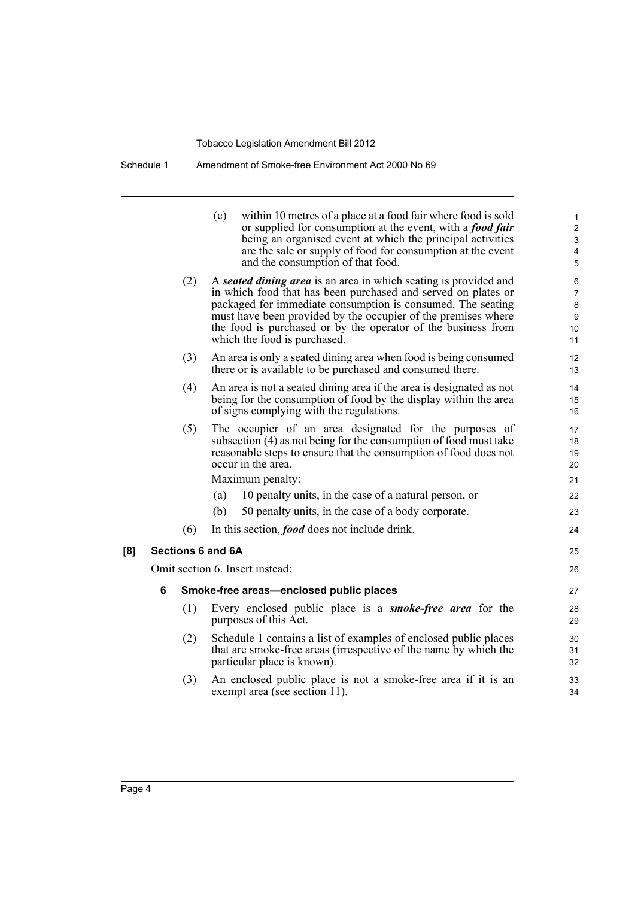Schedule 1 Amendment of Smoke-free Environment Act 2000 No 69

|     |   | (3) | An enclosed public place is not a smoke-free area if it is an<br>exempt area (see section 11).                                                                                                                                                                                                                                                                     | 33<br>34                           |
|-----|---|-----|--------------------------------------------------------------------------------------------------------------------------------------------------------------------------------------------------------------------------------------------------------------------------------------------------------------------------------------------------------------------|------------------------------------|
|     |   | (2) | Schedule 1 contains a list of examples of enclosed public places<br>that are smoke-free areas (irrespective of the name by which the<br>particular place is known).                                                                                                                                                                                                | 30<br>31<br>32                     |
|     |   | (1) | Every enclosed public place is a <b><i>smoke-free area</i></b> for the<br>purposes of this Act.                                                                                                                                                                                                                                                                    | 28<br>29                           |
|     | 6 |     | Smoke-free areas-enclosed public places                                                                                                                                                                                                                                                                                                                            | 27                                 |
|     |   |     | Omit section 6. Insert instead:                                                                                                                                                                                                                                                                                                                                    | 26                                 |
| [8] |   |     | Sections 6 and 6A                                                                                                                                                                                                                                                                                                                                                  | 25                                 |
|     |   | (6) | In this section, <i>food</i> does not include drink.                                                                                                                                                                                                                                                                                                               | 24                                 |
|     |   |     | (b)<br>50 penalty units, in the case of a body corporate.                                                                                                                                                                                                                                                                                                          | 23                                 |
|     |   |     | 10 penalty units, in the case of a natural person, or<br>(a)                                                                                                                                                                                                                                                                                                       | 22                                 |
|     |   |     | Maximum penalty:                                                                                                                                                                                                                                                                                                                                                   | 21                                 |
|     |   | (5) | The occupier of an area designated for the purposes of<br>subsection (4) as not being for the consumption of food must take<br>reasonable steps to ensure that the consumption of food does not<br>occur in the area.                                                                                                                                              | 17<br>18<br>19<br>20               |
|     |   | (4) | An area is not a seated dining area if the area is designated as not<br>being for the consumption of food by the display within the area<br>of signs complying with the regulations.                                                                                                                                                                               | 14<br>15<br>16                     |
|     |   | (3) | An area is only a seated dining area when food is being consumed<br>there or is available to be purchased and consumed there.                                                                                                                                                                                                                                      | 12<br>13                           |
|     |   | (2) | A seated dining area is an area in which seating is provided and<br>in which food that has been purchased and served on plates or<br>packaged for immediate consumption is consumed. The seating<br>must have been provided by the occupier of the premises where<br>the food is purchased or by the operator of the business from<br>which the food is purchased. | 6<br>7<br>8<br>9<br>10<br>11       |
|     |   |     | (c)<br>within 10 metres of a place at a food fair where food is sold<br>or supplied for consumption at the event, with a <b>food fair</b><br>being an organised event at which the principal activities<br>are the sale or supply of food for consumption at the event<br>and the consumption of that food.                                                        | 1<br>$\overline{c}$<br>3<br>4<br>5 |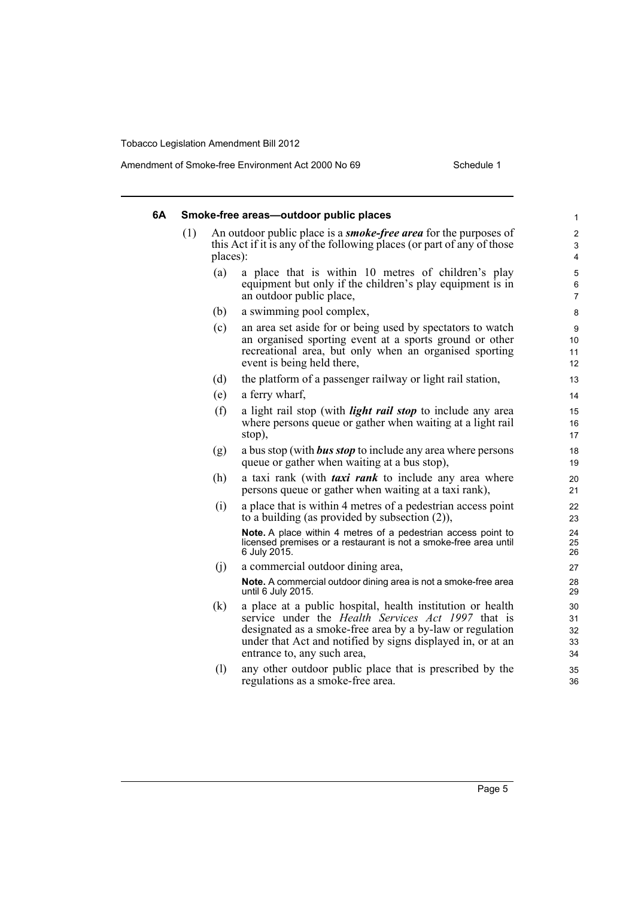| 6A |     |          | Smoke-free areas-outdoor public places                                                                                                                                                                                                                                             | 1                                              |
|----|-----|----------|------------------------------------------------------------------------------------------------------------------------------------------------------------------------------------------------------------------------------------------------------------------------------------|------------------------------------------------|
|    | (1) | places): | An outdoor public place is a <b><i>smoke-free area</i></b> for the purposes of<br>this Act if it is any of the following places (or part of any of those                                                                                                                           | $\overline{c}$<br>3<br>$\overline{\mathbf{4}}$ |
|    |     | (a)      | a place that is within 10 metres of children's play<br>equipment but only if the children's play equipment is in<br>an outdoor public place,                                                                                                                                       | 5<br>$\overline{6}$<br>$\overline{7}$          |
|    |     | (b)      | a swimming pool complex,                                                                                                                                                                                                                                                           | 8                                              |
|    |     | (c)      | an area set aside for or being used by spectators to watch<br>an organised sporting event at a sports ground or other<br>recreational area, but only when an organised sporting<br>event is being held there,                                                                      | 9<br>10<br>11<br>12                            |
|    |     | (d)      | the platform of a passenger railway or light rail station,                                                                                                                                                                                                                         | 13                                             |
|    |     | (e)      | a ferry wharf,                                                                                                                                                                                                                                                                     | 14                                             |
|    |     | (f)      | a light rail stop (with <i>light rail stop</i> to include any area<br>where persons queue or gather when waiting at a light rail<br>stop),                                                                                                                                         | 15<br>16<br>17                                 |
|    |     | (g)      | a bus stop (with <b>bus stop</b> to include any area where persons<br>queue or gather when waiting at a bus stop),                                                                                                                                                                 | 18<br>19                                       |
|    |     | (h)      | a taxi rank (with <i>taxi rank</i> to include any area where<br>persons queue or gather when waiting at a taxi rank),                                                                                                                                                              | 20<br>21                                       |
|    |     | (i)      | a place that is within 4 metres of a pedestrian access point<br>to a building (as provided by subsection $(2)$ ),                                                                                                                                                                  | 22<br>23                                       |
|    |     |          | Note. A place within 4 metres of a pedestrian access point to<br>licensed premises or a restaurant is not a smoke-free area until<br>6 July 2015.                                                                                                                                  | 24<br>25<br>26                                 |
|    |     | (j)      | a commercial outdoor dining area,                                                                                                                                                                                                                                                  | 27                                             |
|    |     |          | Note. A commercial outdoor dining area is not a smoke-free area<br>until 6 July 2015.                                                                                                                                                                                              | 28<br>29                                       |
|    |     | (k)      | a place at a public hospital, health institution or health<br>service under the <i>Health Services Act 1997</i> that is<br>designated as a smoke-free area by a by-law or regulation<br>under that Act and notified by signs displayed in, or at an<br>entrance to, any such area, | 30<br>31<br>32<br>33<br>34                     |
|    |     | (1)      | any other outdoor public place that is prescribed by the<br>regulations as a smoke-free area.                                                                                                                                                                                      | 35<br>36                                       |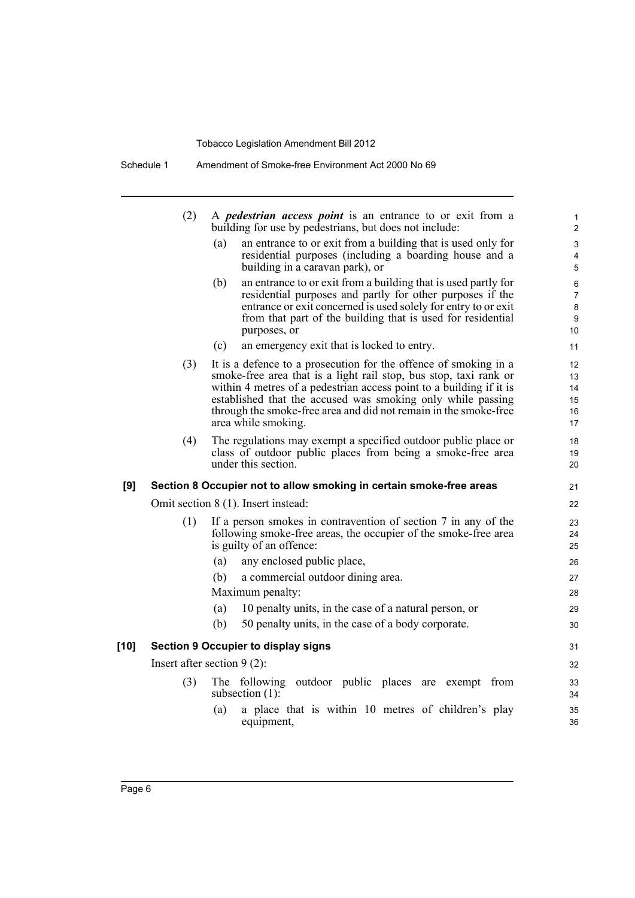Schedule 1 Amendment of Smoke-free Environment Act 2000 No 69

|        | (2) | A <i>pedestrian access point</i> is an entrance to or exit from a<br>building for use by pedestrians, but does not include:                                                                                                                                                                                                                                            | 1<br>$\overline{2}$                 |
|--------|-----|------------------------------------------------------------------------------------------------------------------------------------------------------------------------------------------------------------------------------------------------------------------------------------------------------------------------------------------------------------------------|-------------------------------------|
|        |     | an entrance to or exit from a building that is used only for<br>(a)<br>residential purposes (including a boarding house and a<br>building in a caravan park), or                                                                                                                                                                                                       | 3<br>$\overline{4}$<br>5            |
|        |     | an entrance to or exit from a building that is used partly for<br>(b)<br>residential purposes and partly for other purposes if the<br>entrance or exit concerned is used solely for entry to or exit<br>from that part of the building that is used for residential<br>purposes, or                                                                                    | 6<br>$\overline{7}$<br>8<br>9<br>10 |
|        |     | (c)<br>an emergency exit that is locked to entry.                                                                                                                                                                                                                                                                                                                      | 11                                  |
|        | (3) | It is a defence to a prosecution for the offence of smoking in a<br>smoke-free area that is a light rail stop, bus stop, taxi rank or<br>within 4 metres of a pedestrian access point to a building if it is<br>established that the accused was smoking only while passing<br>through the smoke-free area and did not remain in the smoke-free<br>area while smoking. | 12<br>13<br>14<br>15<br>16<br>17    |
|        | (4) | The regulations may exempt a specified outdoor public place or<br>class of outdoor public places from being a smoke-free area<br>under this section.                                                                                                                                                                                                                   | 18<br>19<br>20                      |
| [9]    |     | Section 8 Occupier not to allow smoking in certain smoke-free areas                                                                                                                                                                                                                                                                                                    | 21                                  |
|        |     | Omit section 8 (1). Insert instead:                                                                                                                                                                                                                                                                                                                                    | 22                                  |
|        | (1) | If a person smokes in contravention of section 7 in any of the<br>following smoke-free areas, the occupier of the smoke-free area<br>is guilty of an offence:                                                                                                                                                                                                          | 23<br>24<br>25                      |
|        |     | any enclosed public place,<br>(a)                                                                                                                                                                                                                                                                                                                                      | 26                                  |
|        |     | a commercial outdoor dining area.<br>(b)                                                                                                                                                                                                                                                                                                                               | 27                                  |
|        |     | Maximum penalty:                                                                                                                                                                                                                                                                                                                                                       | 28                                  |
|        |     | 10 penalty units, in the case of a natural person, or<br>(a)                                                                                                                                                                                                                                                                                                           | 29                                  |
|        |     | 50 penalty units, in the case of a body corporate.<br>(b)                                                                                                                                                                                                                                                                                                              | 30                                  |
| $[10]$ |     | <b>Section 9 Occupier to display signs</b>                                                                                                                                                                                                                                                                                                                             | 31                                  |
|        |     | Insert after section $9(2)$ :                                                                                                                                                                                                                                                                                                                                          | 32                                  |
|        | (3) | The following outdoor public places are exempt from<br>subsection $(1)$ :                                                                                                                                                                                                                                                                                              | 33<br>34                            |
|        |     | a place that is within 10 metres of children's play<br>(a)                                                                                                                                                                                                                                                                                                             | 35                                  |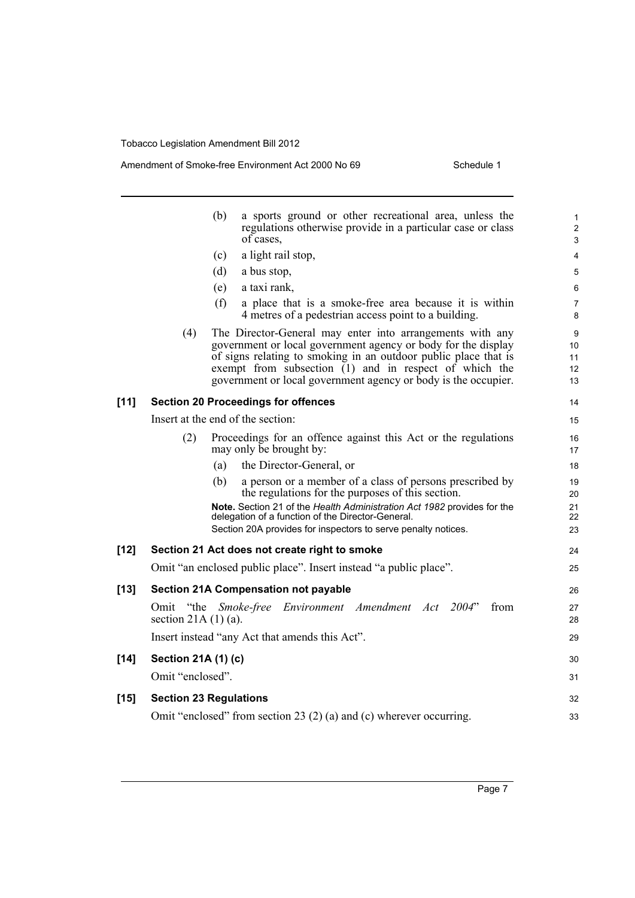#### Amendment of Smoke-free Environment Act 2000 No 69 Schedule 1

|        | (b)<br>a sports ground or other recreational area, unless the<br>regulations otherwise provide in a particular case or class<br>of cases,                                                                                                                                                                                          | $\mathbf{1}$<br>$\overline{2}$<br>3                 |
|--------|------------------------------------------------------------------------------------------------------------------------------------------------------------------------------------------------------------------------------------------------------------------------------------------------------------------------------------|-----------------------------------------------------|
|        | a light rail stop,<br>(c)                                                                                                                                                                                                                                                                                                          | 4                                                   |
|        | (d)<br>a bus stop,                                                                                                                                                                                                                                                                                                                 | 5                                                   |
|        | a taxi rank,<br>(e)                                                                                                                                                                                                                                                                                                                | 6                                                   |
|        | (f)<br>a place that is a smoke-free area because it is within<br>4 metres of a pedestrian access point to a building.                                                                                                                                                                                                              | $\overline{7}$<br>8                                 |
|        | (4)<br>The Director-General may enter into arrangements with any<br>government or local government agency or body for the display<br>of signs relating to smoking in an outdoor public place that is<br>exempt from subsection $(1)$ and in respect of which the<br>government or local government agency or body is the occupier. | 9<br>10 <sup>°</sup><br>11<br>12 <sup>2</sup><br>13 |
| $[11]$ | <b>Section 20 Proceedings for offences</b>                                                                                                                                                                                                                                                                                         | 14                                                  |
|        | Insert at the end of the section:                                                                                                                                                                                                                                                                                                  | 15                                                  |
|        | Proceedings for an offence against this Act or the regulations<br>(2)<br>may only be brought by:                                                                                                                                                                                                                                   | 16<br>17                                            |
|        | the Director-General, or<br>(a)                                                                                                                                                                                                                                                                                                    | 18                                                  |
|        | a person or a member of a class of persons prescribed by<br>(b)                                                                                                                                                                                                                                                                    | 19                                                  |
|        | the regulations for the purposes of this section.<br>Note. Section 21 of the Health Administration Act 1982 provides for the                                                                                                                                                                                                       | 20<br>21                                            |
|        | delegation of a function of the Director-General.                                                                                                                                                                                                                                                                                  | 22                                                  |
|        | Section 20A provides for inspectors to serve penalty notices.                                                                                                                                                                                                                                                                      | 23                                                  |
| $[12]$ | Section 21 Act does not create right to smoke                                                                                                                                                                                                                                                                                      | 24                                                  |
|        | Omit "an enclosed public place". Insert instead "a public place".                                                                                                                                                                                                                                                                  | 25                                                  |
| $[13]$ | <b>Section 21A Compensation not payable</b>                                                                                                                                                                                                                                                                                        | 26                                                  |
|        | Omit "the Smoke-free Environment Amendment Act 2004"<br>from<br>section 21A $(1)$ $(a)$ .                                                                                                                                                                                                                                          | 27<br>28                                            |
|        | Insert instead "any Act that amends this Act".                                                                                                                                                                                                                                                                                     | 29                                                  |
| $[14]$ | Section 21A (1) (c)                                                                                                                                                                                                                                                                                                                | 30                                                  |
|        | Omit "enclosed".                                                                                                                                                                                                                                                                                                                   | 31                                                  |
| $[15]$ | <b>Section 23 Regulations</b>                                                                                                                                                                                                                                                                                                      | 32                                                  |
|        | Omit "enclosed" from section 23 $(2)$ (a) and (c) wherever occurring.                                                                                                                                                                                                                                                              | 33                                                  |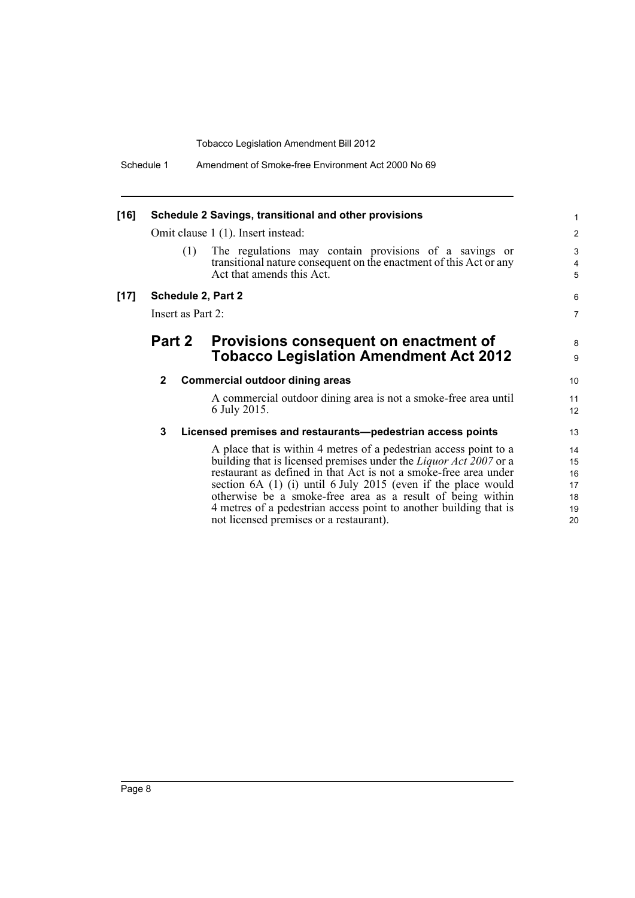|              |                                                                                                                                                                                                                                                                                                                                                                                                                       | 1                                                                                                                                                                                                                                                                                                          |  |
|--------------|-----------------------------------------------------------------------------------------------------------------------------------------------------------------------------------------------------------------------------------------------------------------------------------------------------------------------------------------------------------------------------------------------------------------------|------------------------------------------------------------------------------------------------------------------------------------------------------------------------------------------------------------------------------------------------------------------------------------------------------------|--|
|              |                                                                                                                                                                                                                                                                                                                                                                                                                       | $\overline{2}$                                                                                                                                                                                                                                                                                             |  |
|              | The regulations may contain provisions of a savings or<br>transitional nature consequent on the enactment of this Act or any<br>Act that amends this Act.                                                                                                                                                                                                                                                             | 3<br>$\overline{4}$<br>5                                                                                                                                                                                                                                                                                   |  |
|              |                                                                                                                                                                                                                                                                                                                                                                                                                       | 6                                                                                                                                                                                                                                                                                                          |  |
|              |                                                                                                                                                                                                                                                                                                                                                                                                                       | $\overline{7}$                                                                                                                                                                                                                                                                                             |  |
|              | Provisions consequent on enactment of<br><b>Tobacco Legislation Amendment Act 2012</b>                                                                                                                                                                                                                                                                                                                                | 8<br>9                                                                                                                                                                                                                                                                                                     |  |
| $\mathbf{2}$ |                                                                                                                                                                                                                                                                                                                                                                                                                       | 10                                                                                                                                                                                                                                                                                                         |  |
|              | A commercial outdoor dining area is not a smoke-free area until<br>6 July 2015.                                                                                                                                                                                                                                                                                                                                       | 11<br>12                                                                                                                                                                                                                                                                                                   |  |
| 3            |                                                                                                                                                                                                                                                                                                                                                                                                                       | 13                                                                                                                                                                                                                                                                                                         |  |
|              | A place that is within 4 metres of a pedestrian access point to a<br>building that is licensed premises under the <i>Liquor Act</i> 2007 or a<br>restaurant as defined in that Act is not a smoke-free area under<br>section 6A (1) (i) until 6 July 2015 (even if the place would<br>otherwise be a smoke-free area as a result of being within<br>4 metres of a pedestrian access point to another building that is | 14<br>15<br>16<br>17<br>18<br>19<br>20                                                                                                                                                                                                                                                                     |  |
|              | (1)                                                                                                                                                                                                                                                                                                                                                                                                                   | Schedule 2 Savings, transitional and other provisions<br>Omit clause 1 (1). Insert instead:<br>Schedule 2, Part 2<br>Insert as Part 2:<br><b>Part 2</b><br><b>Commercial outdoor dining areas</b><br>Licensed premises and restaurants-pedestrian access points<br>not licensed premises or a restaurant). |  |

not licensed premises or a restaurant).